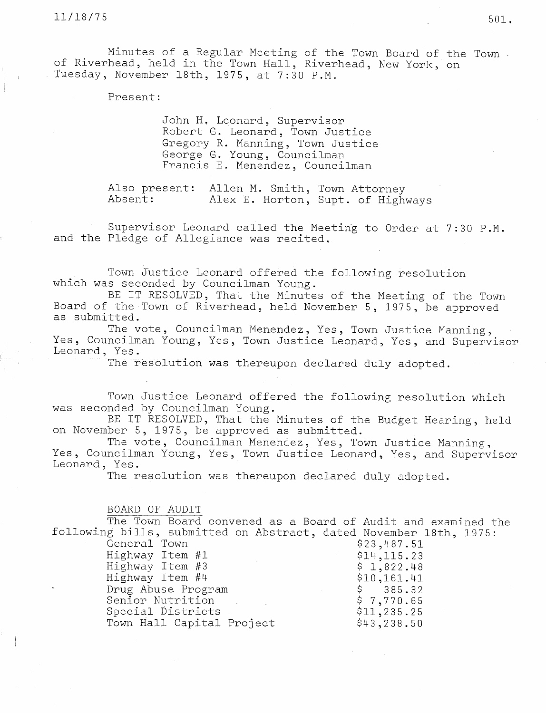Minutes of a Regular Meeting of the Town Board of the Town of Riverhead, held in the Town Hall, Riverhead, New York, on . Tuesday, November 18th, 1975, at 7:30 P.M.

Present:

John H. Leonard, Supervisor Robert G. Leonard, Town Justice Gregory R. Manning, Town Justice George G. Young, Councilman Francis E.. Menendez, Councilman

Also present: Allen M. Smith, Town Attorney Absent: Alex E. Horton, Supt. of Highways

Supervisor Leonard called the Meeting to Order at 7:30 P.M. and the Pledge of Allegiance was recited.

Town Justice Leonard offered the following resolution which was seconded by Councilman Young.

BE IT RESOLVED, That the Minutes of the Meeting of the Town Board of the Town of Riverhead, held November 5, 1975, be approved as submitted.

The vote, Councilman Menendez, Yes, Town Justice Manning, Yes, Councilman Young, Yes, Town Justice Leonard, Yes, and Supervisor Leonard, Yes.

The resolution was thereupon declared duly adopted.

Town Justice Leonard offered the following resolution which was seconded by Councilman Young.

BE IT RESOLVED, That the Minutes of the Budget Hearing, held on November 5, 1975, be approved as submitted.

The vote, Councilman Menendez, Yes, Town Justice Manning, Yes, Councilman Young, Yes, Town Justice Leonard, Yes, and Supervisor Leonard, Yes.

The resolution was thereupon declared duly adopted.

BOARD OF AUDIT

The Town Board convened as a Board of Audit and examined the following bills, submitted on Abstract, dated November 18th, 1975:

General Town \$23,487.51 Highway Item #1 \$14,115.23 Highway Item #3 \$ 1,822.48 Highway Item #4  $$10,161.41$ Drug Abuse Program  $\frac{1}{5}$  \$ 385.32<br>Senior Nutrition  $\frac{1}{5}$  7,770.65 Senior Nutrition Special Districts \$11,235.25 Town Hall Capital Project \$43,238.50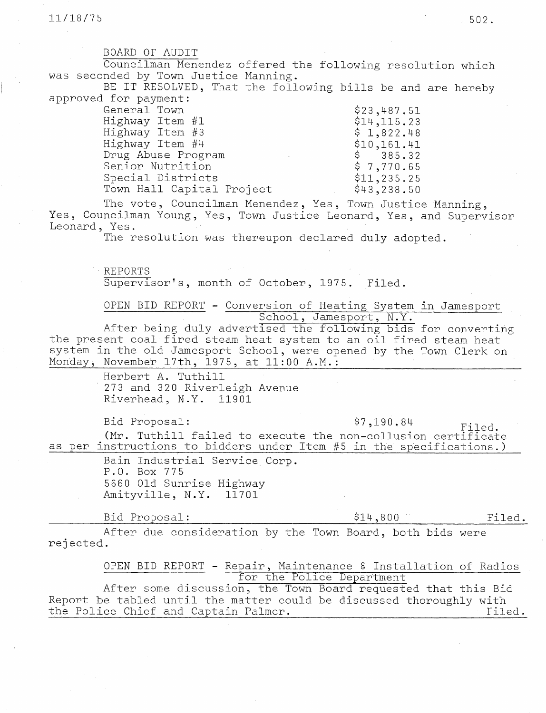BOARD OF AUDIT

Councilman Menendez offered the following resolution which was seconded by Town Justice Manning.

BE IT RESOLVED, That the following bills be and are hereby approved for payment:

| General Town              | \$23,487.51  |
|---------------------------|--------------|
| Highway Item #1           | \$14,115.23  |
| Highway Item #3           | \$1,822.48   |
| Highway Item #4           | \$10,161.41  |
| Drug Abuse Program        | \$385.32     |
| Senior Nutrition          | \$7,770.65   |
| Special Districts         | \$11, 235.25 |
| Town Hall Capital Project | \$43,238.50  |

The vote, Councilman Menendez, Yes, Town Justice Manning, Yes, Councilman Young, Yes, Town Justice Leonard, Yes, and Supervisor Leonard, Yes.

The resolution was thereupon declared duly adopted.

REPORTS Supervisor's, month of October, 1975. Filed.

OPEN BID REPORT - Conversion of Heating System in Jamesport School, Jamesport, N.Y.

After being duly advertised the following bids for converting the present coal fired steam heat system to an oil fired steam heat system in the old Jamesport School, were opened by the Town Clerk on Monday, November 17th, 1975, at 11:00 A.M.:

> Herbert A. Tuthill 273 and 320 Riverleigh Avenue Riverhead, N.Y. 11901

Bid Proposal:  $\frac{1}{2}$ ,190.84 Filed. (Mr. Tuthill failed to execute the non-collusion certificate as per instructions to bidders under Item #5 in the specifications.)

> Bain Industrial Service Corp. P.O. Box 775 5660 Old Sunrise Highway Amityville, N.Y. 11701

Bid Proposal:  $$14,800$  Filed.

After due consideration by the Town Board, both bids were rejected.

OPEN BID REPORT - Repair, Maintenance 8 Installation of Radios for the Police Department After some discussion, the Town Board requested that this Bid

Report be tabled until the matter could be discussed thoroughly with the Police Chief and Captain Palmer. Filed.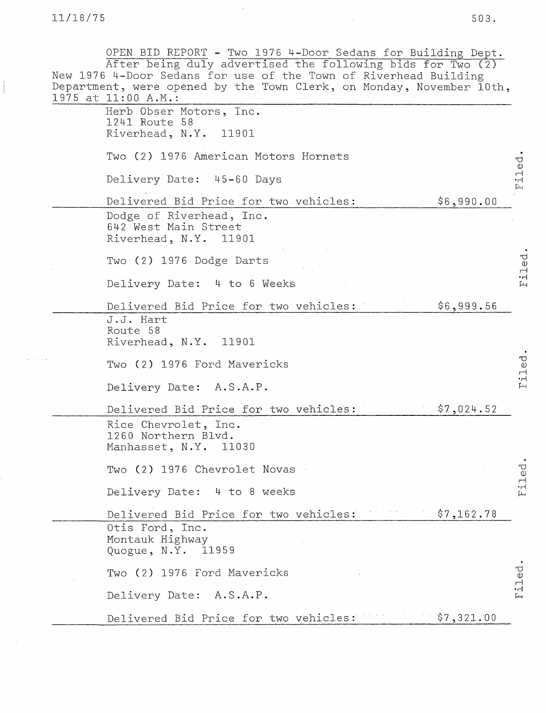11/18/75 503.

OPEN BID REPORT - Two 1976 4-Door Sedans for Building Dept. After being duly advertised the following bids for Two (2) New 1976 4-Door Sedans for use of the Town of Riverhead Building Department, were opened by the Town Clerk, on Monday, November 10th, 1975 at 11:00 A.M.: Herb Obser Motors, Inc. 1241 Route 58 Riverhead, N.Y. 11901 Two (2) 1976 American Motors Hornets iled Delivery Date: 45-60 Days Delivered Bid Price for two vehicles:  $$6,990.00$ Dodge of Riverhead, Inc. 642 West Main Street Riverhead, N.Y. 11901 Filed Two (2) 1976 Dodge Darts Delivery Date: 4 to 6 Weeks Delivered Bid Price for two vehicles:  $$6,999.56$ J.J. Hart Route 58 Riverhead, N.Y. 11901 riled Two (2) 1976 Ford Mavericks Delivery Date: A.S.A.P. Delivered Bid Price for two vehicles:  $\frac{1}{2}$ ,024.52 Rice Chevrolet, Inc. 1260 Northern Blvd. Manhasset, N.Y. <sup>11030</sup> iled Two (2) 1976 Chevrolet Novas Delivery Date: 4 to 8 weeks Delivered Bid Price for two vehicles: \$7,162.78 Otis Ford, Inc. Montauk Highway Quogue, N.Y. 11959 iled. Two (2) 1976 Ford Mavericks Delivery Date: A.S.A.P. Delivered Bid Price for two vehicles:  $$7,321.00$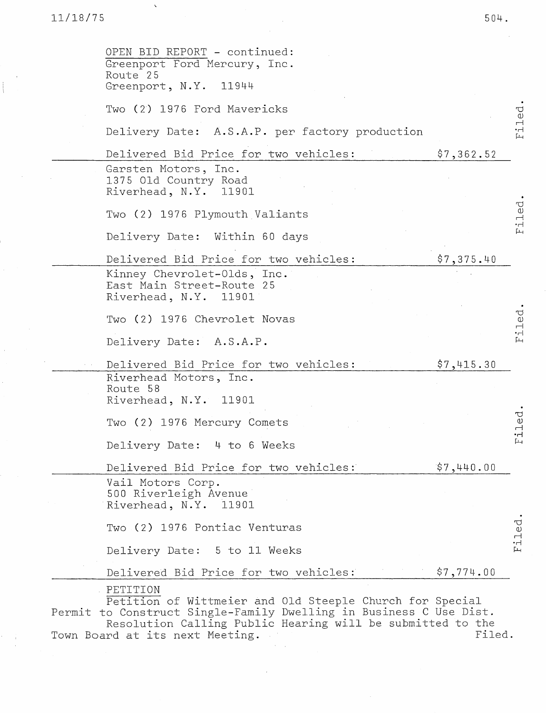$\Delta$ 

| OPEN BID REPORT - continued:<br>Greenport Ford Mercury, Inc.<br>Route 25<br>Greenport, N.Y. 11944                                                                                                                                           |            |  |
|---------------------------------------------------------------------------------------------------------------------------------------------------------------------------------------------------------------------------------------------|------------|--|
| Two (2) 1976 Ford Mavericks                                                                                                                                                                                                                 |            |  |
| Delivery Date: A.S.A.P. per factory production                                                                                                                                                                                              |            |  |
| Delivered Bid Price for two vehicles:                                                                                                                                                                                                       | \$7,362.52 |  |
| Garsten Motors, Inc.<br>1375 Old Country Road<br>Riverhead, N.Y. 11901                                                                                                                                                                      |            |  |
| Two (2) 1976 Plymouth Valiants                                                                                                                                                                                                              |            |  |
| Delivery Date: Within 60 days                                                                                                                                                                                                               |            |  |
| Delivered Bid Price for two vehicles:                                                                                                                                                                                                       | \$7,375.40 |  |
| Kinney Chevrolet-Olds, Inc.<br>East Main Street-Route 25<br>Riverhead, N.Y. 11901                                                                                                                                                           |            |  |
| Two (2) 1976 Chevrolet Novas                                                                                                                                                                                                                |            |  |
| Delivery Date: A.S.A.P.                                                                                                                                                                                                                     |            |  |
| Delivered Bid Price for two vehicles:                                                                                                                                                                                                       | \$7,415.30 |  |
| Riverhead Motors, Inc.<br>Route 58<br>Riverhead, N.Y. 11901                                                                                                                                                                                 |            |  |
| Two (2) 1976 Mercury Comets                                                                                                                                                                                                                 |            |  |
| Delivery Date: 4 to 6 Weeks                                                                                                                                                                                                                 |            |  |
| Delivered Bid Price for two vehicles:                                                                                                                                                                                                       | \$7,440.00 |  |
| Vail Motors Corp.<br>500 Riverleigh Avenue<br>Riverhead, N.Y. 11901                                                                                                                                                                         |            |  |
| Two (2) 1976 Pontiac Venturas                                                                                                                                                                                                               |            |  |
| Delivery Date: 5 to 11 Weeks                                                                                                                                                                                                                |            |  |
| Delivered Bid Price for two vehicles:                                                                                                                                                                                                       | \$7,774.00 |  |
| PETITION<br>Petition of Wittmeier and Old Steeple Church for Special<br>Permit to Construct Single-Family Dwelling in Business C Use Dist.<br>Resolution Calling Public Hearing will be submitted to the<br>Town Board at its next Meeting. | Filed.     |  |

 $\sim 10^7$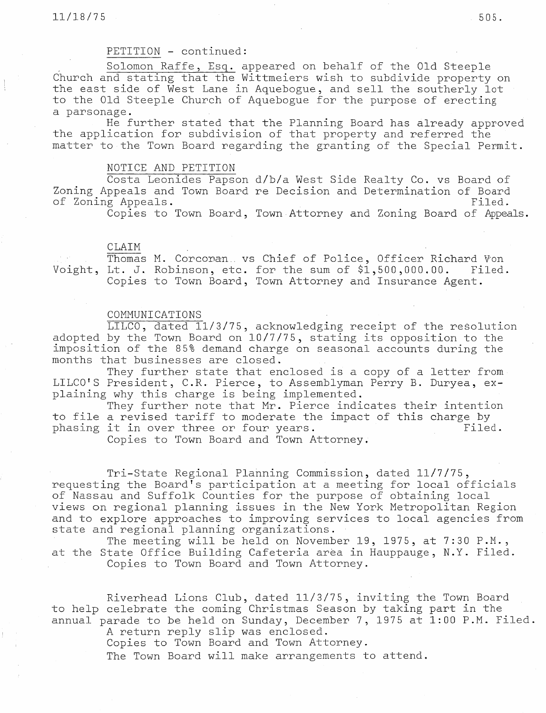# PETITION - continued:

Solomon Raffe, Esq. appeared on behalf of the Old Steeple Church and stating that the Wittmeiers wish to subdivide property on the east side of West Lane in Aquebogue, and sell the southerly lot to the Old Steeple Church of Aquebogue for the purpose of erecting a parsonage.

He further stated that the Planning Board has already approved the application for subdivision of that property and referred the matter to the Town Board regarding the granting of the Special Permit.

### NOTICE AND PETITION

Costa Leonides Papson d/b/a West Side Realty Co. vs Board of Zoning Appeals and Town Board re Decision and Determination of Board of Zoning Appeals. Filed.

Copies to Town Board, Town Attorney and Zoning Board of Appeals.

### CLAIM

Thomas M. Corcoran.. vs Chief of Police, Officer Richard Von Voight, Lt. J. Robinson, etc. for the sum of \$1,500,000.00. Filed. Copies to Town Board, Town Attorney and Insurance Agent.

### COMMUNICATIONS

LILCO, dated 11/3/75, acknowledging receipt of the resolution adopted by the Town Board on 10/7/75, stating its opposition to the imposition of the 85% demand charge on seasonal accounts during the months that businesses are closed.

They further state that enclosed is a copy of a letter from LILCO'S President, C.R. Pierce, to Assemblyman Perry B. Duryea, explaining why this charge is being implemented.

They further note that Mr. Pierce indicates their intention to file a revised tariff to moderate the impact of this charge by phasing it in over three or four years. The state of Filed.

Copies to Town Board and Town Attorney.

Tri-State Regional Planning Commission, dated 11/7/75, requesting the Board's participation at a meeting for local offi of Nassau and Suffolk Counties for the purpose of obtaining loo views on regional planning issues in the New York Metropolitan Region and to explore approaches to improving services to local agencies from state and regional planning organizations.

The meeting will be held on November 19, 1975, at 7:30 P.M., at the State Office Building Cafeteria area in Hauppauge, N.Y. Filed. Copies to Town Board and Town Attorney.

Riverhead Lions Club, dated 11/3/75, inviting the Town Board to help celebrate the coming Christmas Season by taking part in the annual parade to be held on Sunday, December 7, 1975 at  $1:00$  P.M. Filed.

A return reply slip was enclos

Copies to Town Board and Town Attor

The Town Board will make arrangements to attend.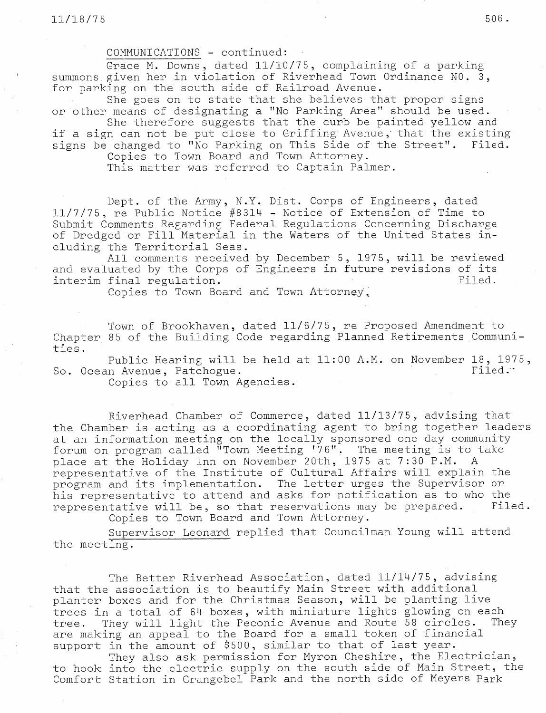COMMUNICATIONS - continued:

Grace M. Downs, dated 11/10/75, complaining of <sup>a</sup> parking summons given her in violation of Riverhead Town Ordinance NO. 3, for parking on the south side of Railroad Avenue.

She goes on to state that she believes that proper signs or other means of designating a "No Parking Area" should be used.

She therefore suggests that the curb be painted yellow and if a sign can not be put close to Griffing Avenue, that the existing signs be changed to "No Parking on This Side of the Street". Filed.

Copies to Town Board and Town Attorney.

This matter was referred to Captain Palmer.

Dept. of the Army, N.Y. Dist. Corps of Engineers, dated 11/7/75, re Public Notice #8314 - Notice of Extension of Time to Submit Comments Regarding Federal Regulations Concerning Discharge of Dredged or Fill Material in the Waters of the United States including the Territorial Seas.

All comments received by December 5, 1975, will be reviewed and evaluated by the Corps of Engineers in future revisions of its interim final regulation. This is a state of the state of the state of the state of the state of the state of the state of the state of the state of the state of the state of the state of the state of the state of the stat

Copies to Town Board and Town Attorney.

Town of Brookhaven, dated 11/6/75, re Proposed Amendment to Chapter 85 of the Building Code regarding Planned Retirements Communities.

Public Hearing will be held at 11:00 A.M. on November 18, 1975, So. Ocean Avenue, Patchogue. The extension of the set of the set of the set of the set of the set of the set of the set of the set of the set of the set of the set of the set of the set of the set of the set of the set of

Copies to all Town Agencies.

Riverhead Chamber of Commerce, dated 11/13/75, advising that the Chamber is acting as a coordinating agent to bring together leaders at an information meeting on the locally sponsored one day community forum on program called "Town Meeting '76". The meeting is to tal place at the Holiday Inn on November 20th, <sup>1975</sup> at 7:30 P.M. A representative of the Institute of Cultural Affairs will explain the program and its implementation. The letter urges the Supervisor or his representative to attend and asks for notification as to who the representative will be, so that reservations may be prepared. Filed. Copies to Town Board and Town Attorney.

Supervisor Leonard replied that Councilman Young will attend the meeting.

The Better Riverhead Association, dated 11/14/75, advising that the association is to beautify Main Street with additional planter boxes and for the Christmas Season, will be planting live trees in a total of 64 boxes, with miniature lights glowing on each tree. They will light the Peconic Avenue and Route 58 circles. They are making an appeal to the Board for a small token of fina support in the amount of \$500, similar to that of last year.

They also ask permission for Myron Cheshire, the Electrician, to hook into the electric supply on the south side of Main Street, the Comfort Station in Grangebel Park and the north side of Meyers Park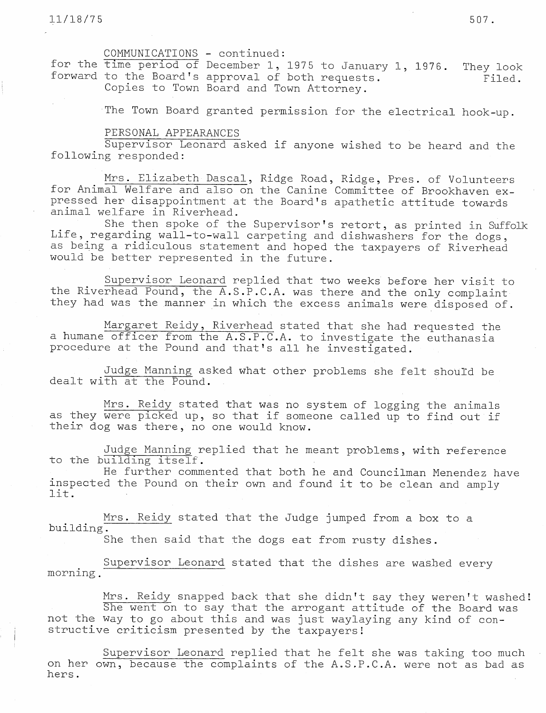COMMUNICATIONS - continued:

for the time period of December 1, 1975 to January 1, 1976. They look forward to the Board's approval of both requests.  $Filed.$ Copies to Town Board and Town Attorney.

The Town Board granted permission for the electrical hook-up.

### PERSONAL APPEARANCES

Supervisor Leonard asked if anyone wished to be heard and the following responded:

Mrs. Elizabeth Dascal, Ridge Road, Ridge, Pres. of Volunteers for Animal Welfare and also on the Canine Committee of Brookhaven expressed her disappointment at the Board's apathetic attitude towards animal welfare in Riverhead.

She then spoke of the Supervisor's retort, as printed in Suffolk Life, regarding wall-to-wall carpeting and dishwashers for the dogs, as being a ridiculous statement and hoped the taxpayers of Riverhead would be better represented in the future.

Supervisor Leonard replied that two weeks before her visit to the Riverhead Pound, the A.S.P.C.A. was there and the only complaint they had was the manner in which the excess animals were. disposed of.

Margaret Reidy, Riverhead stated that she had requested the a humane officer from the A.S.P.C.A. to investigate the euthanasia procedure at the Pound and that's all he investigated.

Judge Manning asked what other problems she felt shouId be dealt with at the Pound.

Mrs. Reidy stated that was no system of logging the animals as they were picked up, so that if someone called up to find out if their dog was there, no one would know.

Judge Manning replied that he meant problems, with reference to the building îtself.

He further commented that both he and Councilman Menendez have inspected the Pound on their own and found it to be clean and amply lit.

Mrs. Reidy stated that the Judge jumped from a box to a building.

She then said that the dogs eat from rusty dishes.

Supervisor Leonard stated that the dishes are washed every morning.

Mrs. Reidy snapped back that she didn't say they weren't washed! She went on to say that the arrogant attitude of the Board was not the way to go about this and was just waylaying any kind of constructive criticism presented by the taxpayers!

Supervisor Leonard replied that he felt she was taking too much on her own, because the complaints of the A.S.P.C.A. were not as bad as hers.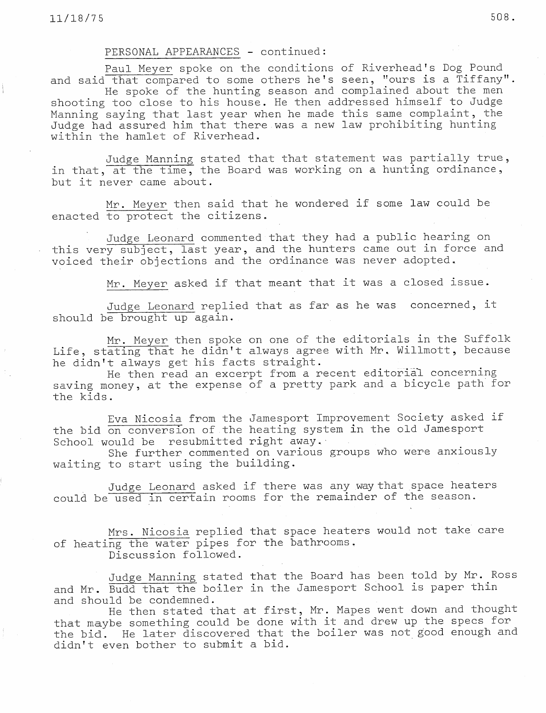## PERSONAL APPEARANCES - continued:

Paul Meyer spoke on the conditions of Riverhead's Dog Pound and said that compared to some others he's seen, "ours is a Tiffany".

He spoke of the hunting season and complained about the men shooting too close to his house. He then addressed himself to Judge Manning saying that last year when he made this same complaint, the Judge had assured him that there.was a new law prohibiting hunting within the hamlet of Riverhead.

Judge Manning stated that that statement was partially true, in that, at the time, the Board was working on a hunting ordinance, but it never came about.

Mr. Meyer then said that he wondered if some law could be enacted to protect the citizens.

Judge Leonard commented that they had a public hearing on this very subject, last year, and the hunters came out in force and voiced their objections and the ordinance was never adopted.

Mr. Meyer asked if that meant that it was a closed issue.

Judge Leonard replied that as far as he was concerned, it should be brought up again.

Mr. Meyer then spoke on one of the editorials in the Suffolk Life, stating that he didn't always agree with Mr. Willmott, because he didn't always get his facts straight.

He then read an excerpt from a recent editorial concerning saving money, at the expense of a pretty park and a bicycle path for the kids.

Eva Nicosia from the Jamesport Improvement Society asked if the bid on conversion of.the heating system in the old Jamesport School would be resubmitted right away.

She further commented on various groups who were anxiously waiting to start using the building.

Judge Leonard asked if there was any.way that space heaters could be used in certain rooms for the remainder of the season.

Mrs. Nicosia replied that space heaters would not take care of heating the water pipes for the bathrooms. Discussion followed.

Judge Manning stated that the Board has been told by Mr. Ross and Mr. Budd that the boiler in the Jamesport School is paper thin and should be condemned.

He then stated that at first, Mr. Mapes went down and thought that maybe something could be done with it and drew up the specs for the bid. He later discovered that the boiler was not good enough and didn't even bother to submit a bid.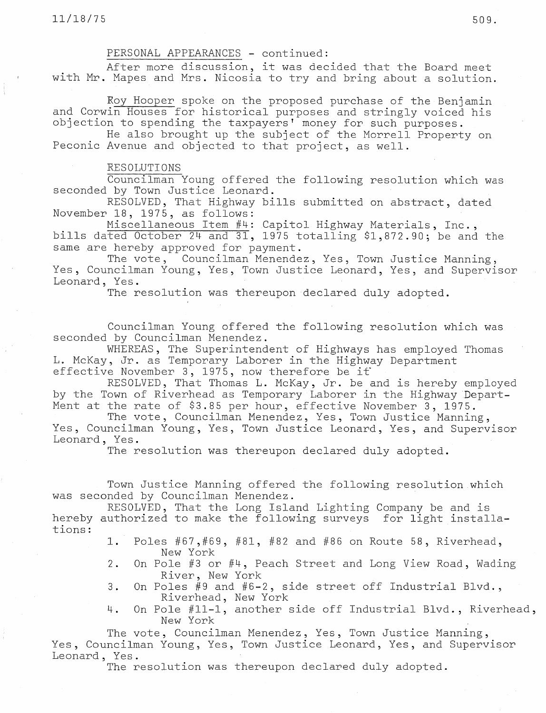# PERSONAL APPEARANCES - continued:

After more discussion, it was decided that the Board meet with Mr. Mapes and Mrs. Nicosia to try and bring about a solution.

Roy Hooper spoke on the proposed purchase of the Benjamin and Corwin Houses for historical purposes and stringly voiced his objection to spending the taxpayers' money for. such purposes.

He also brought up the subject of the Morrell Property on Peconic Avenue and objected to that project, as well.

## RESOLUTIONS

Councilman Young offered the following resolution which was seconded by Town Justice Leonard.

RESOLVED, That Highway bills submitted on abstract, dated November 18, 1975, as follows:

Miscellaneous Item #4: Capitol Highway Materials, Inc., bills dated October 24 and 31, 1975 totalling \$1,872.90; be and the same are hereby approved for payment.

The vote, Councilman Menendez, Yes, Town Justice Manning, Yes, Councilman Young, Yes, Town Justice Leonard, Yes, and Supervisor Leonard, Yes.

The resolution was thereupon declared duly adopted.

Councilman Young offered the following resolution which was seconded by Councilman Menendez.

WHEREAS, The Superintendent of Highways has employed Thomas L. McKay, Jr. as Temporary Laborer in the Highway Department effective November 3, 1975, now therefore be if

RESOLVED, That Thomas L. McKay, Jr. be and is hereby employed by the Town of Riverhead as Temporary Laborer in the Highway Depart-Ment at the rate of \$3.85 per hour, effective November 3, 1975.

The vote, Councilman Menendez, Yes, Town Justice Manning, Yes, Councilman Young, Yes, Town Justice Leonard, Yes, and Supervisor Leonard, Yes.

The resolution was thereupon declared duly adopted.

Town Justice Manning offered the following resolution.which was seconded by Councilman Menendez.

RESOLVED, That the Long Island Lighting Company be and is hereby authorized to make the following surveys for light installations:

- 1. Poles #67,#69, #81, #82 and #86 on Route 58, Riverhead, New York
- 2. On Pole #3 or #4, Peach Street and Long View Road, Wading River, New York
- 3. On Poles #9 and #6-2, side street off Industrial Blvd., Riverhead, New York
- 4. On Pole #11-1, another side off Industrial Blvd., Riverhead, New York

The vote, Councilman Menendez, Yes, Town Justice Manning, Yes, Councilman Young, Yes, Town Justice Leonard, Yes, and Supervisor Leonard, Yes.

The resolution was thereupon declared duly adopted.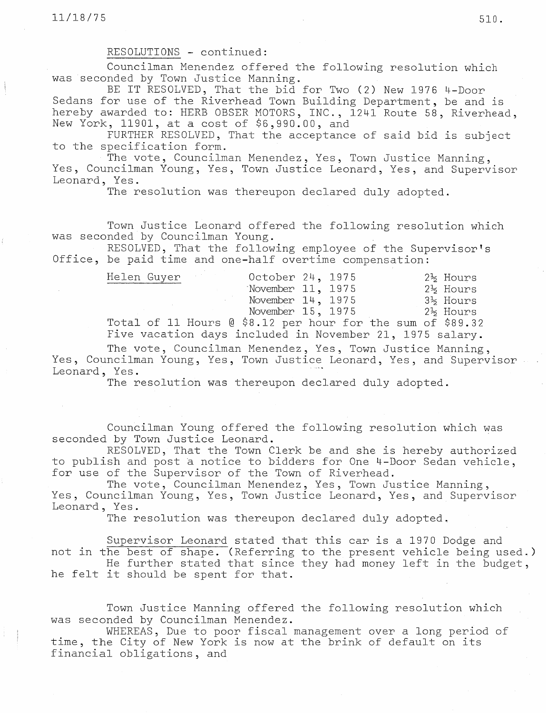RESOLUTIONS - continued:

Councilman Menendez offered the following resolution which was seconded by Town Justice Manning.

BE IT RESOLVED, That the bid for Two (2) New 1976 4-Door Sedans for use of the Riverhead Town Building Department, be and is hereby awarded to: HERB OBSER MOTORS, INC., 1241 Route 58, Riverhead, New York, 11901, at a cost of \$6,990.00, and

FURTHER RESOLVED, That the acceptance of said bid is subject to the specification form.

The vote, Councilman Menendez, Yes, Town Justice Manning, Yes, Councilman Young, Yes, Town Justice Leonard, Yes, and Supervisor Leonard, Yes.

The resolution was thereupon declared duly adopted.

Town Justice Leonard offered the following resolution which was seconded by Councilman Young.

RESOLVED, That the following employee of the Supervisor's Office, be paid time and one-half overtime compensation:

| Helen Guyer                                                   |  | October 24, 1975       |  |  |  | 2½ Hours |
|---------------------------------------------------------------|--|------------------------|--|--|--|----------|
|                                                               |  | November $11, 1975$    |  |  |  | 2½ Hours |
|                                                               |  | November $14$ , $1975$ |  |  |  | 3½ Hours |
|                                                               |  | November 15, 1975      |  |  |  | 2½ Hours |
| Total of 11 Hours $\&$ \$8.12 per hour for the sum of \$89.32 |  |                        |  |  |  |          |
|                                                               |  |                        |  |  |  |          |

Five vacation days included in November 21, 1975 salary.

The vote, Councilman Menendez, Yes, Town Justice Manning, Yes, Councilman Young, Yes, Town Justice Leonard, Yes, and Supervisor Leonard, Yes.

The resolution was thereupon declared duly adopted.

Councilman Young offered the following resolution which was seconded by Town Justice Leonard.

RESOLVED, That the Town Clerk be and she is hereby authorized to publish and post a notice to bidders for One 4-Door Sedan vehicle, for use of the Supervisor of the Town of Riverhead.

The vote, Councilman Menendez, Yes, Town Justice Manning, Yes, Councilman Young, Yes, Town Justice Leonard, Yes, and Supervisor Leonard, Yes.

The resolution was thereupon declared duly adopted.

Supervisor Leonard stated that this car is a 1970 Dodge and not in the best of shape. (Referring to the present vehicle being used.)

He further stated that since they had money left in the budget, he felt it should be spent for that.

Town Justice Manning offered the following resolution which was seconded by Councilman Menendez.

WHEREAS, Due to poor fiscal management over a long period of time, the City of New York is now at the brink of default on its financial obligations, and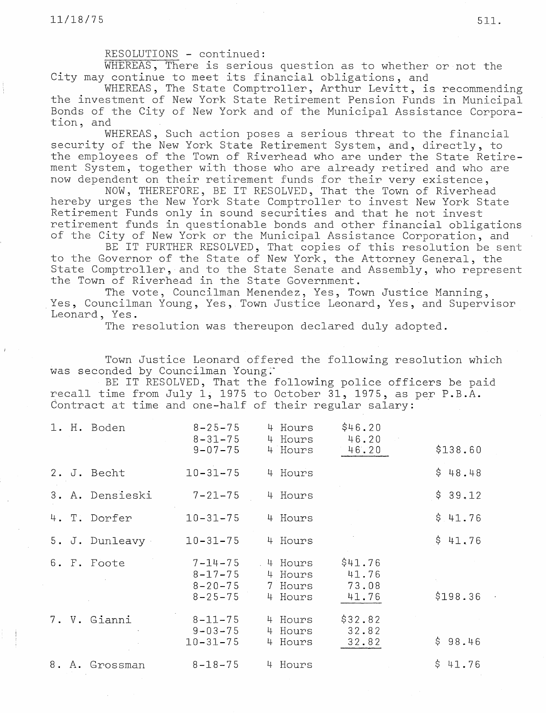## RESOLUTIONS - continued:

WHEREAS, There is serious question as to whether or·not the City may continue to meet its financial obligations, and

WHEREAS, The State Comptroller, Arthur Levitt, is recommending the investment of New York State Retirement Pension Funds in Municipal Bonds of the City of New York and of the Municipal Assistance Corporation, and

WHEREAS, Such action poses a serious threat to the financial security of the New York State Retirement System, and, directly, to the employees of the Town of Riverhead who are under the State Retirement System, together with those who are already retired and who are now dependent on their retirement funds for their very existence,

NOW, THEREFORE, BE IT RESOLVED, That the Town of Riverhead hereby urges the New York State Comptroller to invest New York State Retirement Funds only in sound securities and that he not invest retirement funds in questionable bonds and other financial obligations of the City of New York or the Municipal Assistance Corporation, and

BE IT FURTHER RESOLVED, That copies of this resolution be sent to the Governor of the State of New York, the Attorney General, the State Comptroller, and to the State Senate and Assembly, who represent the Town of Riverhead in the State Government.

The vote, Councilman Menendez, Yes, Town Justice Manning, Yes, Councilman Young, Yes, Town Justice Leonard, Yes, and Supervisor Leonard, Yes.

The resolution was thereupon declared duly adopted.

Town Justice Leonard offered the following resolution which was seconded by Councilman Young.

BE IT RESOLVED, That the following police officers be paid recall time from July 1, 1975 to October 31, 1975, as per P.B.A. Contract at time and one-half of their regular salary:

|  | 1. H. Boden     | $8 - 25 - 75$<br>$8 - 31 - 75$<br>$9 - 07 - 75$                  | 4 Hours<br>4 Hours<br>4 Hours                  | \$46.20<br>46.20<br>46.20          | \$138.60 |
|--|-----------------|------------------------------------------------------------------|------------------------------------------------|------------------------------------|----------|
|  | 2. J. Becht     | $10 - 31 - 75$                                                   | 4 Hours                                        |                                    | \$48.48  |
|  | 3. A. Densieski | $7 - 21 - 75$                                                    | 4 Hours                                        |                                    | \$39.12  |
|  | 4. T. Dorfer    | $10 - 31 - 75$                                                   | 4 Hours                                        |                                    | \$11.76  |
|  | 5. J. Dunleavy  | $10 - 31 - 75$                                                   | 4 Hours                                        |                                    | \$41.76  |
|  | 6. F. Foote     | $7 - 14 - 75$<br>$8 - 17 - 75$<br>$8 - 20 - 75$<br>$8 - 25 - 75$ | Hours<br>$-4$<br>4 Hours<br>7 Hours<br>4 Hours | \$41.76<br>41.76<br>73.08<br>41.76 | \$198.36 |
|  | 7. V. Gianni    | $8 - 11 - 75$<br>$9 - 03 - 75$<br>$10 - 31 - 75$                 | 4 Hours<br>4 Hours<br>Hours<br>4               | \$32.82<br>32.82<br>32.82          | \$98.46  |
|  | 8. A. Grossman  | $8 - 18 - 75$                                                    | 4 Hours                                        |                                    | \$41.76  |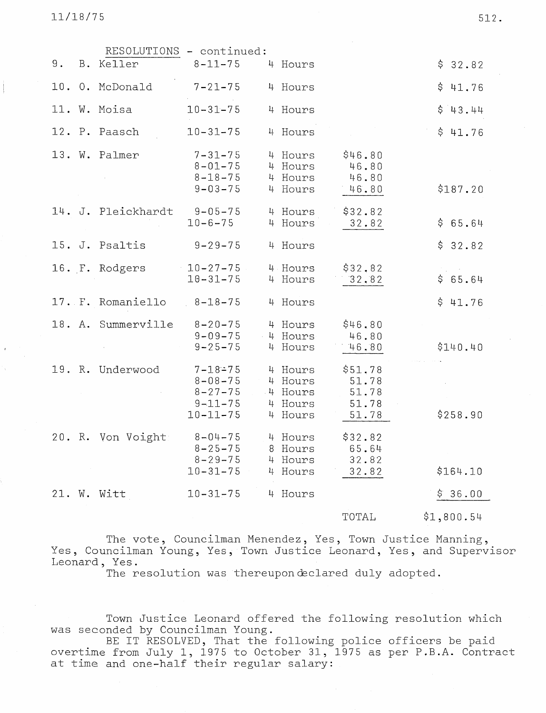11/18/75 512.

|       |                    | RESOLUTIONS - continued:                                                           |                                                     |                                             |            |
|-------|--------------------|------------------------------------------------------------------------------------|-----------------------------------------------------|---------------------------------------------|------------|
| $9$ . | B. Keller          | $8 - 11 - 75$                                                                      | 4 Hours                                             |                                             | \$32.82    |
|       | 10. O. McDonald    | $7 - 21 - 75$                                                                      | 4 Hours                                             |                                             | \$41.76    |
|       | 11. W. Moisa       | $10 - 31 - 75$                                                                     | 4 Hours                                             |                                             | \$43.44    |
|       | 12. P. Paasch      | $10 - 31 - 75$                                                                     | 4 Hours                                             |                                             | \$41.76    |
|       | 13. W. Palmer      | $7 - 31 - 75$<br>$8 - 01 - 75$<br>$8 - 18 - 75$<br>$9 - 03 - 75$                   | 4 Hours<br>4 Hours<br>4 Hours<br>4 Hours            | \$46.80<br>46.80<br>46.80<br>46.80          | \$187.20   |
|       | 14. J. Pleickhardt | $9 - 05 - 75$<br>$10 - 6 - 75$                                                     | 4 Hours<br>4 Hours                                  | \$32.82<br>32.82                            | \$65.64    |
|       | 15. J. Psaltis     | $9 - 29 - 75$                                                                      | 4 Hours                                             |                                             | \$32.82    |
|       | 16. F. Rodgers     | $10 - 27 - 75$<br>$10 - 31 - 75$                                                   | 4 Hours<br>4 Hours                                  | \$32,82<br>32.82                            | \$65.64    |
|       | 17. F. Romaniello  | $8 - 18 - 75$                                                                      | 4 Hours                                             |                                             | \$41.76    |
|       | 18. A. Summerville | $8 - 20 - 75$<br>$9 - 09 - 75$<br>$9 - 25 - 75$                                    | 4 Hours<br>4 Hours<br>4 Hours                       | \$46.80<br>46.80<br>46.80                   | \$140.40   |
|       | 19. R. Underwood   | $7 - 18 - 75$<br>$8 - 08 - 75$<br>$8 - 27 - 75$<br>$9 - 11 - 75$<br>$10 - 11 - 75$ | 4 Hours<br>4 Hours<br>4 Hours<br>4 Hours<br>4 Hours | \$51,78<br>51.78<br>51.78<br>51.78<br>51.78 | \$258.90   |
|       | 20. R. Von Voight  | $8 - 04 - 75$<br>$8 - 25 - 75$<br>$8 - 29 - 75$<br>$10 - 31 - 75$                  | 4 Hours<br>8 Hours<br>4 Hours<br>4 Hours            | \$32.82<br>65.64<br>32.82<br>32.82          | \$164.10   |
|       | 21. W. Witt        | $10 - 31 - 75$                                                                     | 4 Hours                                             |                                             | \$36.00    |
|       |                    |                                                                                    |                                                     | TOTAL                                       | \$1,800.54 |

The vote, Councilman Menendez, Yes, Town Justice Manning, Yes, Councilman Young, Yes, Town Justice Leonard, Yes, and Supervisor Leonard, Yes.

The resolution was thereupondeclared duly adopted.

Town Justice Leonard offered the following resolution which was seconded by Councilman Young.

BE IT RESOLVED, That the following police officers be pa overtime from July 1, 1975 to October 31, 1975 as per P.B.A. Cont: at time and one-half their regular salary: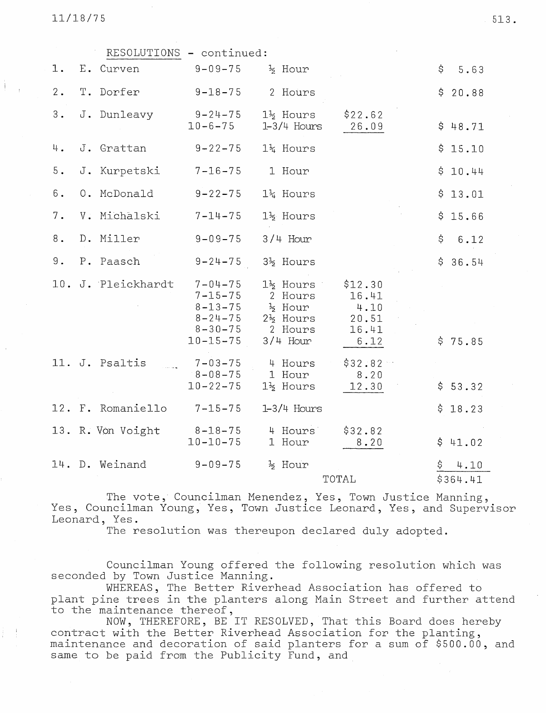$11/18/75$  513.

|       | RESOLUTIONS - continued: |                                                                                                     |                                                                                            |                                                    |                        |
|-------|--------------------------|-----------------------------------------------------------------------------------------------------|--------------------------------------------------------------------------------------------|----------------------------------------------------|------------------------|
| 1.    | E. Curven                | $9 - 09 - 75$                                                                                       | $\frac{1}{2}$ Hour                                                                         |                                                    | \$<br>5.63             |
| $2$ . | T. Dorfer                | $9 - 18 - 75$                                                                                       | 2 Hours                                                                                    |                                                    | \$20.88                |
| 3.    | J. Dunleavy              | $9 - 24 - 75$<br>$10 - 6 - 75$                                                                      | $1\frac{1}{2}$ Hours<br>$1-3/4$ Hours                                                      | \$22.62<br>26.09                                   | \$48.71                |
| 4.    | J. Grattan               | $9 - 22 - 75$                                                                                       | 14 Hours                                                                                   |                                                    | \$15.10                |
| $5$ . | J. Kurpetski             | $7 - 16 - 75$                                                                                       | 1 Hour                                                                                     |                                                    | \$10.44                |
| 6.    | 0. McDonald              | $9 - 22 - 75$                                                                                       | $14$ Hours                                                                                 |                                                    | \$13.01                |
| 7.    | V. Michalski             | $7 - 14 - 75$                                                                                       | 1 <sup>2</sup> Hours                                                                       |                                                    | \$15.66                |
| 8.    | D. Miller                | $9 - 09 - 75$                                                                                       | $3/4$ Hour                                                                                 |                                                    | \$<br>6.12             |
| 9.    | P. Paasch                | $9 - 24 - 75$                                                                                       | 3 <sup>1</sup> / <sub>2</sub> Hours                                                        |                                                    | \$36.54                |
|       | 10. J. Pleickhardt       | $7 - 04 - 75$<br>$7 - 15 - 75$<br>$8 - 13 - 75$<br>$8 - 24 - 75$<br>$8 - 30 - 75$<br>$10 - 15 - 75$ | $1\frac{1}{2}$ Hours<br>2 Hours<br>% Hour<br>$2\frac{1}{2}$ Hours<br>2 Hours<br>$3/4$ Hour | \$12.30<br>16.41<br>4.10<br>20.51<br>16.41<br>6.12 | \$75.85                |
|       | 11. J. Psaltis           | $7 - 03 - 75$<br>$8 - 08 - 75$<br>$10 - 22 - 75$                                                    | 4 Hours<br>1 Hour<br>$1\frac{1}{2}$ Hours                                                  | \$32.82<br>8.20<br>12.30                           | \$53.32                |
|       | 12. F. Romaniello        | $7 - 15 - 75$                                                                                       | $1-3/4$ Hours                                                                              |                                                    | \$18.23                |
|       | 13. R. Von Voight        | $8 - 18 - 75$<br>$10 - 10 - 75$                                                                     | 4 Hours<br>1 Hour                                                                          | \$32.82<br>8.20                                    | \$41.02                |
|       | 14. D. Weinand           | $9 - 09 - 75$                                                                                       | $\frac{1}{2}$ Hour                                                                         | TOTAL                                              | \$<br>4.10<br>\$364.41 |

The vote, Councilman Menendez, Yes, Town Justice Manning, Yes, Councilman Young, Yes, Town Justice Leonard, Yes, and Supervisor Leonard, Yes.

The resolution was thereupon declared duly adopted.

Councilman Young offered the following resolution which was seconded by Town Justice Manning.

WHEREAS, The Better Riverhead Association has offered to plant pine trees in the planters along Main Street and further attend to the maintenance thereof,

NOW, THEREFORE, BE IT RESOLVED, That this Board does hereby contract with the Better Riverhead Association for the planting, maintenance and decoration of said planters for a sum of \$500.00, and same to be paid from the Publicity Fund, and